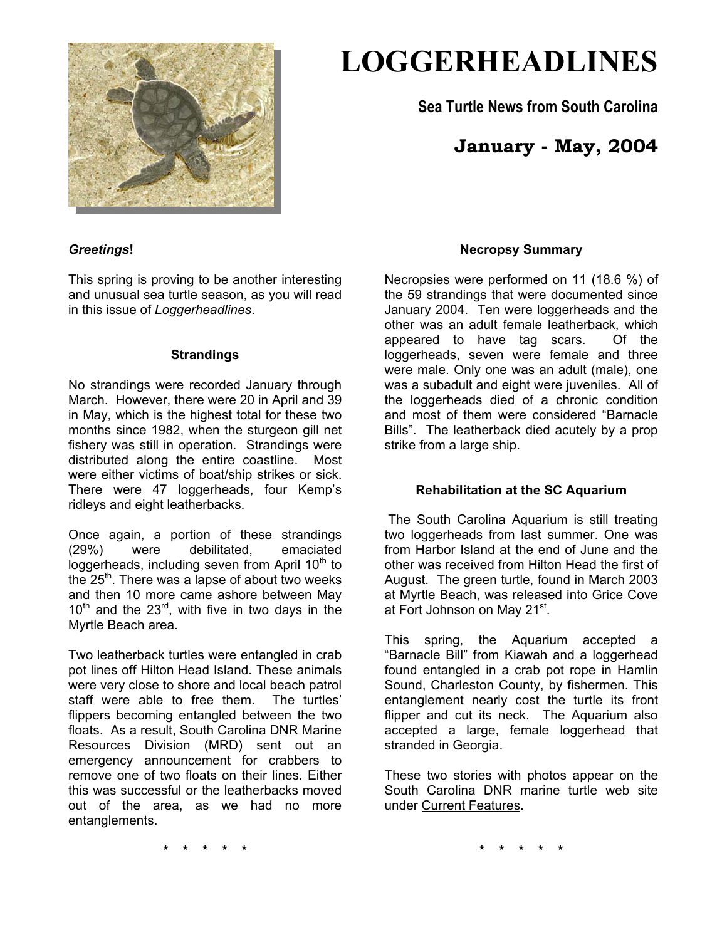

# **LOGGERHEADLINES**

**Sea Turtle News from South Carolina** 

# **January - May, 2004**

# *Greetings***!**

This spring is proving to be another interesting and unusual sea turtle season, as you will read in this issue of *Loggerheadlines*.

#### **Strandings**

No strandings were recorded January through March. However, there were 20 in April and 39 in May, which is the highest total for these two months since 1982, when the sturgeon gill net fishery was still in operation. Strandings were distributed along the entire coastline. Most were either victims of boat/ship strikes or sick. There were 47 loggerheads, four Kemp's ridleys and eight leatherbacks.

Once again, a portion of these strandings (29%) were debilitated, emaciated loggerheads, including seven from April  $10<sup>th</sup>$  to the  $25<sup>th</sup>$ . There was a lapse of about two weeks and then 10 more came ashore between May  $10^{th}$  and the  $23^{rd}$ , with five in two days in the Myrtle Beach area.

Two leatherback turtles were entangled in crab pot lines off Hilton Head Island. These animals were very close to shore and local beach patrol staff were able to free them. The turtles' flippers becoming entangled between the two floats. As a result, South Carolina DNR Marine Resources Division (MRD) sent out an emergency announcement for crabbers to remove one of two floats on their lines. Either this was successful or the leatherbacks moved out of the area, as we had no more entanglements.

#### **Necropsy Summary**

Necropsies were performed on 11 (18.6 %) of the 59 strandings that were documented since January 2004. Ten were loggerheads and the other was an adult female leatherback, which appeared to have tag scars. Of the loggerheads, seven were female and three were male. Only one was an adult (male), one was a subadult and eight were juveniles. All of the loggerheads died of a chronic condition and most of them were considered "Barnacle Bills". The leatherback died acutely by a prop strike from a large ship.

# **Rehabilitation at the SC Aquarium**

The South Carolina Aquarium is still treating two loggerheads from last summer. One was from Harbor Island at the end of June and the other was received from Hilton Head the first of August. The green turtle, found in March 2003 at Myrtle Beach, was released into Grice Cove at Fort Johnson on May 21<sup>st</sup>.

This spring, the Aquarium accepted a "Barnacle Bill" from Kiawah and a loggerhead found entangled in a crab pot rope in Hamlin Sound, Charleston County, by fishermen. This entanglement nearly cost the turtle its front flipper and cut its neck. The Aquarium also accepted a large, female loggerhead that stranded in Georgia.

These two stories with photos appear on the South Carolina DNR marine turtle web site under Current Features.

**\* \* \* \* \***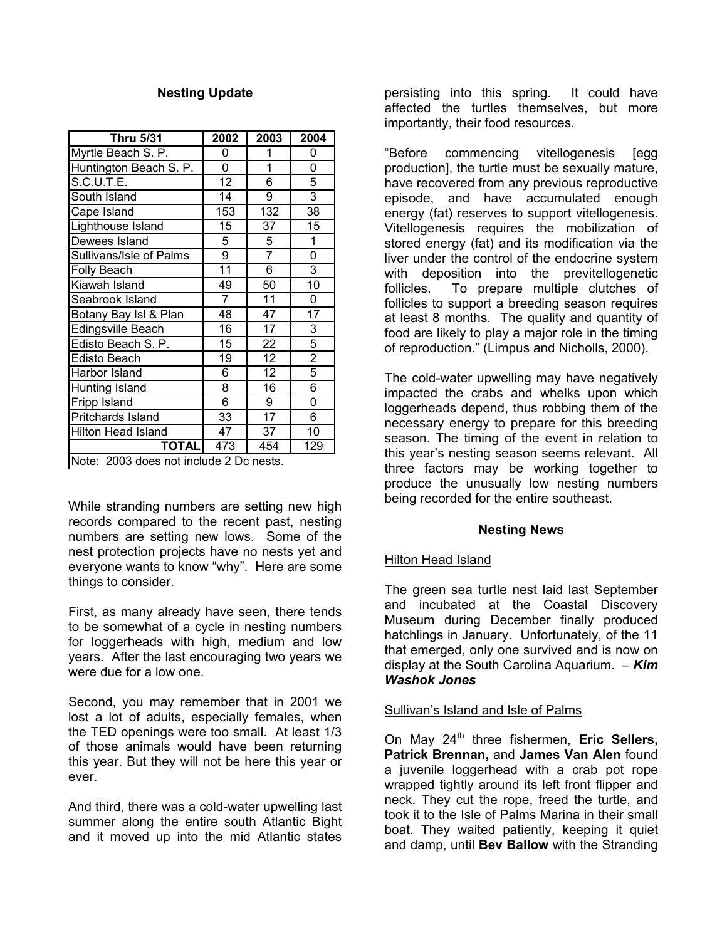#### **Nesting Update**

| <b>Thru 5/31</b>                                      | 2002            | 2003            | 2004           |
|-------------------------------------------------------|-----------------|-----------------|----------------|
| Myrtle Beach S. P.                                    | 0               | 1               | 0              |
| Huntington Beach S. P.                                | 0               | 1               | 0              |
| <b>S.C.U.T.E.</b>                                     | $\overline{12}$ | 6               | 5              |
| South Island                                          | 14              | 9               | $\overline{3}$ |
| Cape Island                                           | 153             | 132             | 38             |
| Lighthouse Island                                     | 15              | 37              | 15             |
| Dewees Island                                         | 5               | $\overline{5}$  | 1              |
| Sullivans/Isle of Palms                               | 9               | $\overline{7}$  | 0              |
| Folly Beach                                           | 11              | 6               | 3              |
| Kiawah Island                                         | 49              | 50              | 10             |
| Seabrook Island                                       | 7               | 11              | 0              |
| Botany Bay Isl & Plan                                 | 48              | 47              | 17             |
| Edingsville Beach                                     | $\overline{16}$ | $\overline{17}$ | $\overline{3}$ |
| Edisto Beach S. P.                                    | 15              | 22              | 5              |
| <b>Edisto Beach</b>                                   | 19              | 12              | $\overline{2}$ |
| Harbor Island                                         | 6               | 12              | $\overline{5}$ |
| Hunting Island                                        | 8               | 16              | 6              |
| Fripp Island                                          | 6               | 9               | 0              |
| Pritchards Island                                     | 33              | 17              | 6              |
| <b>Hilton Head Island</b>                             | 47              | 37              | 10             |
| <b>TOTAL</b><br>Nata: 2002 desa petipolide 2 De peste | 473             | 454             | 129            |

Note: 2003 does not include 2 Dc nests.

While stranding numbers are setting new high records compared to the recent past, nesting numbers are setting new lows. Some of the nest protection projects have no nests yet and everyone wants to know "why". Here are some things to consider.

First, as many already have seen, there tends to be somewhat of a cycle in nesting numbers for loggerheads with high, medium and low years. After the last encouraging two years we were due for a low one.

Second, you may remember that in 2001 we lost a lot of adults, especially females, when the TED openings were too small. At least 1/3 of those animals would have been returning this year. But they will not be here this year or ever.

And third, there was a cold-water upwelling last summer along the entire south Atlantic Bight and it moved up into the mid Atlantic states

persisting into this spring. It could have affected the turtles themselves, but more importantly, their food resources.

"Before commencing vitellogenesis [egg production], the turtle must be sexually mature, have recovered from any previous reproductive episode, and have accumulated enough energy (fat) reserves to support vitellogenesis. Vitellogenesis requires the mobilization of stored energy (fat) and its modification via the liver under the control of the endocrine system with deposition into the previtellogenetic follicles. To prepare multiple clutches of follicles to support a breeding season requires at least 8 months. The quality and quantity of food are likely to play a major role in the timing of reproduction." (Limpus and Nicholls, 2000).

The cold-water upwelling may have negatively impacted the crabs and whelks upon which loggerheads depend, thus robbing them of the necessary energy to prepare for this breeding season. The timing of the event in relation to this year's nesting season seems relevant. All three factors may be working together to produce the unusually low nesting numbers being recorded for the entire southeast.

# **Nesting News**

#### Hilton Head Island

The green sea turtle nest laid last September and incubated at the Coastal Discovery Museum during December finally produced hatchlings in January. Unfortunately, of the 11 that emerged, only one survived and is now on display at the South Carolina Aquarium. – *Kim Washok Jones* 

# Sullivan's Island and Isle of Palms

On May 24<sup>th</sup> three fishermen, Eric Sellers, **Patrick Brennan,** and **James Van Alen** found a juvenile loggerhead with a crab pot rope wrapped tightly around its left front flipper and neck. They cut the rope, freed the turtle, and took it to the Isle of Palms Marina in their small boat. They waited patiently, keeping it quiet and damp, until **Bev Ballow** with the Stranding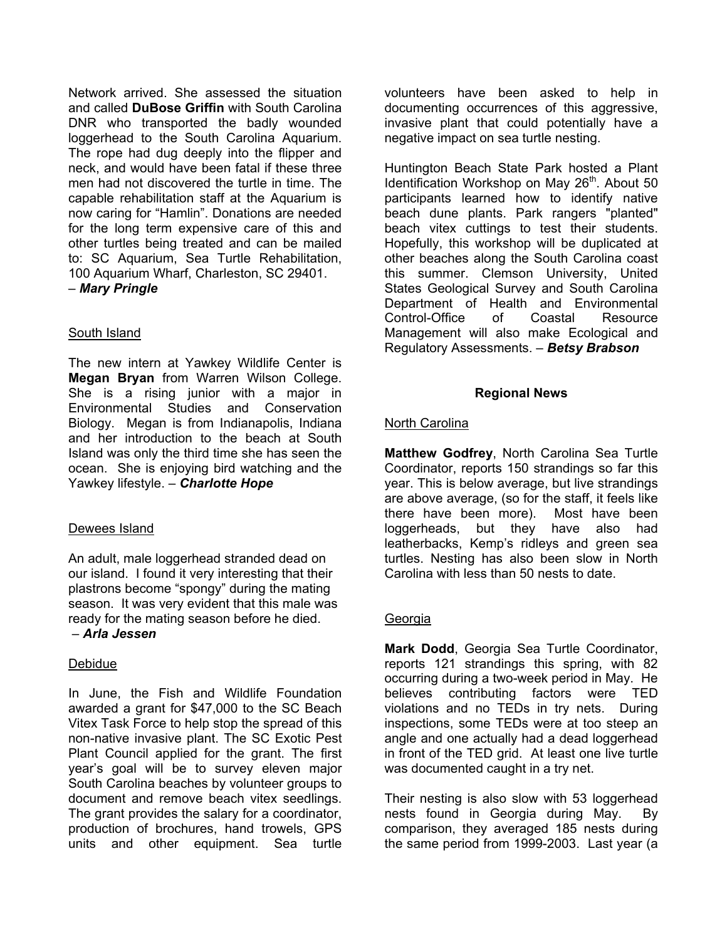Network arrived. She assessed the situation and called **DuBose Griffin** with South Carolina DNR who transported the badly wounded loggerhead to the South Carolina Aquarium. The rope had dug deeply into the flipper and neck, and would have been fatal if these three men had not discovered the turtle in time. The capable rehabilitation staff at the Aquarium is now caring for "Hamlin". Donations are needed for the long term expensive care of this and other turtles being treated and can be mailed to: SC Aquarium, Sea Turtle Rehabilitation, 100 Aquarium Wharf, Charleston, SC 29401. – *Mary Pringle*

# South Island

The new intern at Yawkey Wildlife Center is **Megan Bryan** from Warren Wilson College. She is a rising junior with a major in Environmental Studies and Conservation Biology. Megan is from Indianapolis, Indiana and her introduction to the beach at South Island was only the third time she has seen the ocean. She is enjoying bird watching and the Yawkey lifestyle. – *Charlotte Hope* 

# Dewees Island

An adult, male loggerhead stranded dead on our island. I found it very interesting that their plastrons become "spongy" during the mating season. It was very evident that this male was ready for the mating season before he died. – *Arla Jessen*

# Debidue

In June, the Fish and Wildlife Foundation awarded a grant for \$47,000 to the SC Beach Vitex Task Force to help stop the spread of this non-native invasive plant. The SC Exotic Pest Plant Council applied for the grant. The first year's goal will be to survey eleven major South Carolina beaches by volunteer groups to document and remove beach vitex seedlings. The grant provides the salary for a coordinator, production of brochures, hand trowels, GPS units and other equipment. Sea turtle

volunteers have been asked to help in documenting occurrences of this aggressive, invasive plant that could potentially have a negative impact on sea turtle nesting.

Huntington Beach State Park hosted a Plant Identification Workshop on May  $26<sup>th</sup>$ . About 50 participants learned how to identify native beach dune plants. Park rangers "planted" beach vitex cuttings to test their students. Hopefully, this workshop will be duplicated at other beaches along the South Carolina coast this summer. Clemson University, United States Geological Survey and South Carolina Department of Health and Environmental Control-Office of Coastal Resource Management will also make Ecological and Regulatory Assessments. – *Betsy Brabson*

#### **Regional News**

#### **North Carolina**

**Matthew Godfrey**, North Carolina Sea Turtle Coordinator, reports 150 strandings so far this year. This is below average, but live strandings are above average, (so for the staff, it feels like there have been more). Most have been loggerheads, but they have also had leatherbacks, Kemp's ridleys and green sea turtles. Nesting has also been slow in North Carolina with less than 50 nests to date.

# Georgia

**Mark Dodd**, Georgia Sea Turtle Coordinator, reports 121 strandings this spring, with 82 occurring during a two-week period in May. He believes contributing factors were TED violations and no TEDs in try nets. During inspections, some TEDs were at too steep an angle and one actually had a dead loggerhead in front of the TED grid. At least one live turtle was documented caught in a try net.

Their nesting is also slow with 53 loggerhead nests found in Georgia during May. By comparison, they averaged 185 nests during the same period from 1999-2003. Last year (a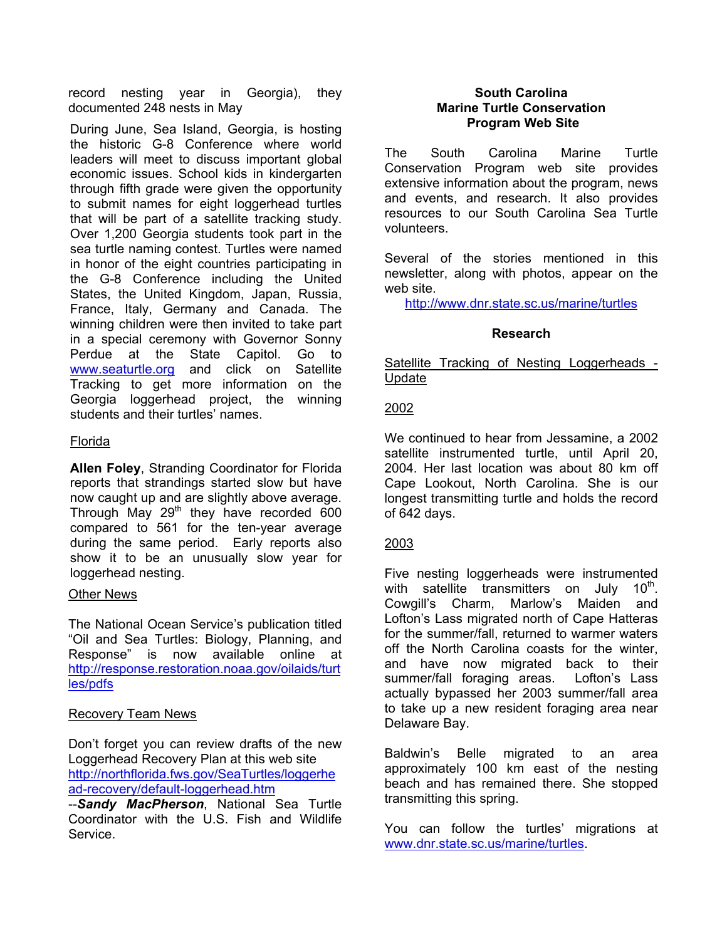record nesting year in Georgia), they documented 248 nests in May

During June, Sea Island, Georgia, is hosting the historic G-8 Conference where world leaders will meet to discuss important global economic issues. School kids in kindergarten through fifth grade were given the opportunity to submit names for eight loggerhead turtles that will be part of a satellite tracking study. Over 1,200 Georgia students took part in the sea turtle naming contest. Turtles were named in honor of the eight countries participating in the G-8 Conference including the United States, the United Kingdom, Japan, Russia, France, Italy, Germany and Canada. The winning children were then invited to take part in a special ceremony with Governor Sonny Perdue at the State Capitol. Go to [www.seaturtle.org](http://www.seaturtle.org/) and click on Satellite Tracking to get more information on the Georgia loggerhead project, the winning students and their turtles' names.

#### Florida

**Allen Foley**, Stranding Coordinator for Florida reports that strandings started slow but have now caught up and are slightly above average. Through May  $29<sup>th</sup>$  they have recorded 600 compared to 561 for the ten-year average during the same period. Early reports also show it to be an unusually slow year for loggerhead nesting.

#### Other News

The National Ocean Service's publication titled "Oil and Sea Turtles: Biology, Planning, and Response" is now available online at [http://response.restoration.noaa.gov/oilaids/turt](http://response.restoration.noaa.gov/oilaids/turtles/pdfs) [les/pdfs](http://response.restoration.noaa.gov/oilaids/turtles/pdfs)

# Recovery Team News

Don't forget you can review drafts of the new Loggerhead Recovery Plan at this web site [http://northflorida.fws.gov/SeaTurtles/loggerhe](http://northflorida.fws.gov/SeaTurtles/loggerhead-recovery/default-loggerhead.htm) [ad-recovery/default-loggerhead.htm](http://northflorida.fws.gov/SeaTurtles/loggerhead-recovery/default-loggerhead.htm) 

--*Sandy MacPherson*, National Sea Turtle Coordinator with the U.S. Fish and Wildlife Service.

#### **South Carolina Marine Turtle Conservation Program Web Site**

The South Carolina Marine Turtle Conservation Program web site provides extensive information about the program, news and events, and research. It also provides resources to our South Carolina Sea Turtle volunteers.

Several of the stories mentioned in this newsletter, along with photos, appear on the web site.

<http://www.dnr.state.sc.us/marine/turtles>

# **Research**

Satellite Tracking of Nesting Loggerheads - Update

# 2002

We continued to hear from Jessamine, a 2002 satellite instrumented turtle, until April 20, 2004. Her last location was about 80 km off Cape Lookout, North Carolina. She is our longest transmitting turtle and holds the record of 642 days.

# 2003

Five nesting loggerheads were instrumented with satellite transmitters on July  $10<sup>th</sup>$ . Cowgill's Charm, Marlow's Maiden and Lofton's Lass migrated north of Cape Hatteras for the summer/fall, returned to warmer waters off the North Carolina coasts for the winter, and have now migrated back to their summer/fall foraging areas. Lofton's Lass actually bypassed her 2003 summer/fall area to take up a new resident foraging area near Delaware Bay.

Baldwin's Belle migrated to an area approximately 100 km east of the nesting beach and has remained there. She stopped transmitting this spring.

You can follow the turtles' migrations at [www.dnr.state.sc.us/marine/turtles](http://www.dnr.state.sc.us/marine/turtles).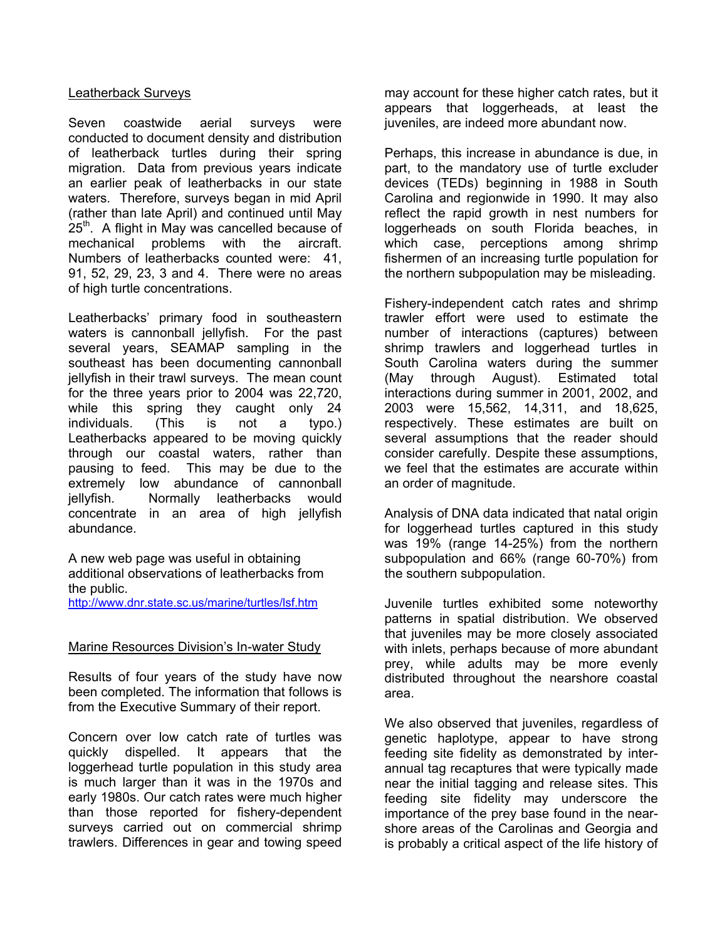#### Leatherback Surveys

Seven coastwide aerial surveys were conducted to document density and distribution of leatherback turtles during their spring migration. Data from previous years indicate an earlier peak of leatherbacks in our state waters. Therefore, surveys began in mid April (rather than late April) and continued until May  $25<sup>th</sup>$ . A flight in May was cancelled because of mechanical problems with the aircraft. Numbers of leatherbacks counted were: 41, 91, 52, 29, 23, 3 and 4. There were no areas of high turtle concentrations.

Leatherbacks' primary food in southeastern waters is cannonball jellyfish. For the past several years, SEAMAP sampling in the southeast has been documenting cannonball jellyfish in their trawl surveys. The mean count for the three years prior to 2004 was 22,720, while this spring they caught only 24 individuals. (This is not a typo.) Leatherbacks appeared to be moving quickly through our coastal waters, rather than pausing to feed. This may be due to the extremely low abundance of cannonball jellyfish. Normally leatherbacks would concentrate in an area of high jellyfish abundance.

A new web page was useful in obtaining additional observations of leatherbacks from the public.

<http://www.dnr.state.sc.us/marine/turtles/lsf.htm>

#### Marine Resources Division's In-water Study

Results of four years of the study have now been completed. The information that follows is from the Executive Summary of their report.

Concern over low catch rate of turtles was quickly dispelled. It appears that the loggerhead turtle population in this study area is much larger than it was in the 1970s and early 1980s. Our catch rates were much higher than those reported for fishery-dependent surveys carried out on commercial shrimp trawlers. Differences in gear and towing speed

may account for these higher catch rates, but it appears that loggerheads, at least the juveniles, are indeed more abundant now.

Perhaps, this increase in abundance is due, in part, to the mandatory use of turtle excluder devices (TEDs) beginning in 1988 in South Carolina and regionwide in 1990. It may also reflect the rapid growth in nest numbers for loggerheads on south Florida beaches, in which case, perceptions among shrimp fishermen of an increasing turtle population for the northern subpopulation may be misleading.

Fishery-independent catch rates and shrimp trawler effort were used to estimate the number of interactions (captures) between shrimp trawlers and loggerhead turtles in South Carolina waters during the summer (May through August). Estimated total interactions during summer in 2001, 2002, and 2003 were 15,562, 14,311, and 18,625, respectively. These estimates are built on several assumptions that the reader should consider carefully. Despite these assumptions, we feel that the estimates are accurate within an order of magnitude.

Analysis of DNA data indicated that natal origin for loggerhead turtles captured in this study was 19% (range 14-25%) from the northern subpopulation and 66% (range 60-70%) from the southern subpopulation.

Juvenile turtles exhibited some noteworthy patterns in spatial distribution. We observed that juveniles may be more closely associated with inlets, perhaps because of more abundant prey, while adults may be more evenly distributed throughout the nearshore coastal area.

We also observed that juveniles, regardless of genetic haplotype, appear to have strong feeding site fidelity as demonstrated by interannual tag recaptures that were typically made near the initial tagging and release sites. This feeding site fidelity may underscore the importance of the prey base found in the nearshore areas of the Carolinas and Georgia and is probably a critical aspect of the life history of